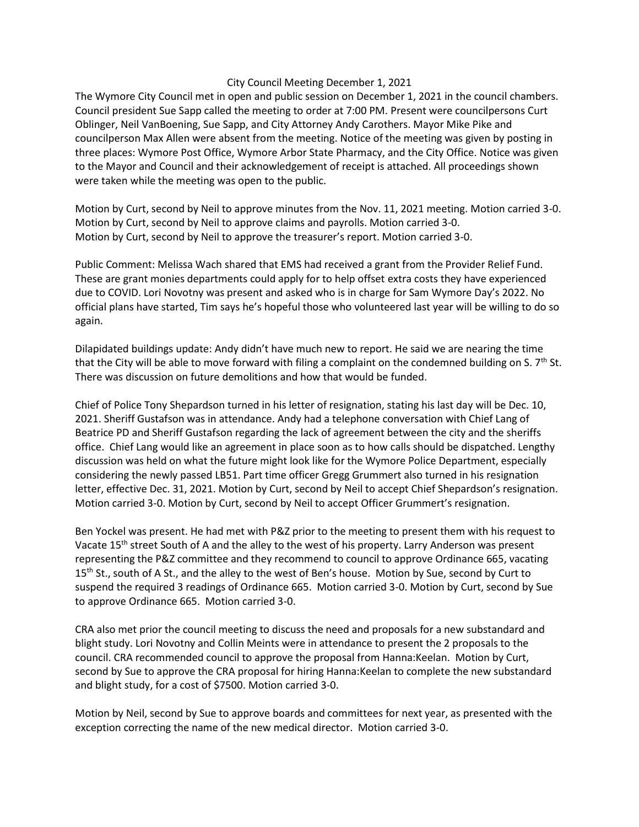## City Council Meeting December 1, 2021

The Wymore City Council met in open and public session on December 1, 2021 in the council chambers. Council president Sue Sapp called the meeting to order at 7:00 PM. Present were councilpersons Curt Oblinger, Neil VanBoening, Sue Sapp, and City Attorney Andy Carothers. Mayor Mike Pike and councilperson Max Allen were absent from the meeting. Notice of the meeting was given by posting in three places: Wymore Post Office, Wymore Arbor State Pharmacy, and the City Office. Notice was given to the Mayor and Council and their acknowledgement of receipt is attached. All proceedings shown were taken while the meeting was open to the public.

Motion by Curt, second by Neil to approve minutes from the Nov. 11, 2021 meeting. Motion carried 3-0. Motion by Curt, second by Neil to approve claims and payrolls. Motion carried 3-0. Motion by Curt, second by Neil to approve the treasurer's report. Motion carried 3-0.

Public Comment: Melissa Wach shared that EMS had received a grant from the Provider Relief Fund. These are grant monies departments could apply for to help offset extra costs they have experienced due to COVID. Lori Novotny was present and asked who is in charge for Sam Wymore Day's 2022. No official plans have started, Tim says he's hopeful those who volunteered last year will be willing to do so again.

Dilapidated buildings update: Andy didn't have much new to report. He said we are nearing the time that the City will be able to move forward with filing a complaint on the condemned building on S.  $7<sup>th</sup>$  St. There was discussion on future demolitions and how that would be funded.

Chief of Police Tony Shepardson turned in his letter of resignation, stating his last day will be Dec. 10, 2021. Sheriff Gustafson was in attendance. Andy had a telephone conversation with Chief Lang of Beatrice PD and Sheriff Gustafson regarding the lack of agreement between the city and the sheriffs office. Chief Lang would like an agreement in place soon as to how calls should be dispatched. Lengthy discussion was held on what the future might look like for the Wymore Police Department, especially considering the newly passed LB51. Part time officer Gregg Grummert also turned in his resignation letter, effective Dec. 31, 2021. Motion by Curt, second by Neil to accept Chief Shepardson's resignation. Motion carried 3-0. Motion by Curt, second by Neil to accept Officer Grummert's resignation.

Ben Yockel was present. He had met with P&Z prior to the meeting to present them with his request to Vacate 15<sup>th</sup> street South of A and the alley to the west of his property. Larry Anderson was present representing the P&Z committee and they recommend to council to approve Ordinance 665, vacating 15<sup>th</sup> St., south of A St., and the alley to the west of Ben's house. Motion by Sue, second by Curt to suspend the required 3 readings of Ordinance 665. Motion carried 3-0. Motion by Curt, second by Sue to approve Ordinance 665. Motion carried 3-0.

CRA also met prior the council meeting to discuss the need and proposals for a new substandard and blight study. Lori Novotny and Collin Meints were in attendance to present the 2 proposals to the council. CRA recommended council to approve the proposal from Hanna:Keelan. Motion by Curt, second by Sue to approve the CRA proposal for hiring Hanna:Keelan to complete the new substandard and blight study, for a cost of \$7500. Motion carried 3-0.

Motion by Neil, second by Sue to approve boards and committees for next year, as presented with the exception correcting the name of the new medical director. Motion carried 3-0.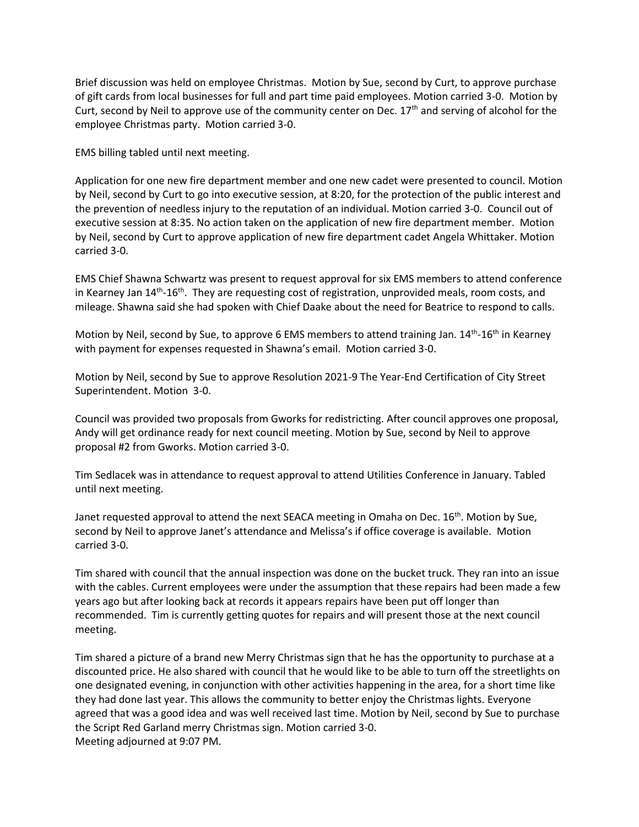Brief discussion was held on employee Christmas. Motion by Sue, second by Curt, to approve purchase of gift cards from local businesses for full and part time paid employees. Motion carried 3-0. Motion by Curt, second by Neil to approve use of the community center on Dec.  $17<sup>th</sup>$  and serving of alcohol for the employee Christmas party. Motion carried 3-0.

EMS billing tabled until next meeting.

Application for one new fire department member and one new cadet were presented to council. Motion by Neil, second by Curt to go into executive session, at 8:20, for the protection of the public interest and the prevention of needless injury to the reputation of an individual. Motion carried 3-0. Council out of executive session at 8:35. No action taken on the application of new fire department member. Motion by Neil, second by Curt to approve application of new fire department cadet Angela Whittaker. Motion carried 3-0.

EMS Chief Shawna Schwartz was present to request approval for six EMS members to attend conference in Kearney Jan 14<sup>th</sup>-16<sup>th</sup>. They are requesting cost of registration, unprovided meals, room costs, and mileage. Shawna said she had spoken with Chief Daake about the need for Beatrice to respond to calls.

Motion by Neil, second by Sue, to approve 6 EMS members to attend training Jan. 14<sup>th</sup>-16<sup>th</sup> in Kearney with payment for expenses requested in Shawna's email. Motion carried 3-0.

Motion by Neil, second by Sue to approve Resolution 2021-9 The Year-End Certification of City Street Superintendent. Motion 3-0.

Council was provided two proposals from Gworks for redistricting. After council approves one proposal, Andy will get ordinance ready for next council meeting. Motion by Sue, second by Neil to approve proposal #2 from Gworks. Motion carried 3-0.

Tim Sedlacek was in attendance to request approval to attend Utilities Conference in January. Tabled until next meeting.

Janet requested approval to attend the next SEACA meeting in Omaha on Dec. 16<sup>th</sup>. Motion by Sue, second by Neil to approve Janet's attendance and Melissa's if office coverage is available. Motion carried 3-0.

Tim shared with council that the annual inspection was done on the bucket truck. They ran into an issue with the cables. Current employees were under the assumption that these repairs had been made a few years ago but after looking back at records it appears repairs have been put off longer than recommended. Tim is currently getting quotes for repairs and will present those at the next council meeting.

Tim shared a picture of a brand new Merry Christmas sign that he has the opportunity to purchase at a discounted price. He also shared with council that he would like to be able to turn off the streetlights on one designated evening, in conjunction with other activities happening in the area, for a short time like they had done last year. This allows the community to better enjoy the Christmas lights. Everyone agreed that was a good idea and was well received last time. Motion by Neil, second by Sue to purchase the Script Red Garland merry Christmas sign. Motion carried 3-0. Meeting adjourned at 9:07 PM.